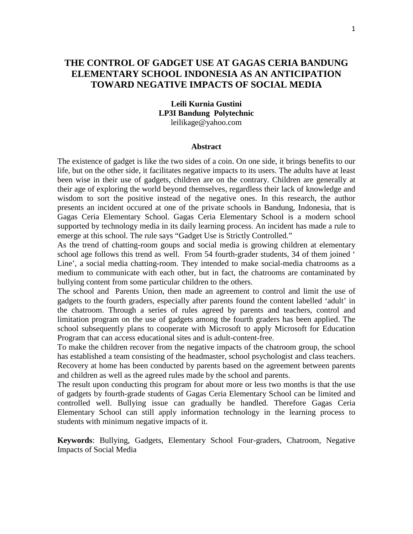# **THE CONTROL OF GADGET USE AT GAGAS CERIA BANDUNG ELEMENTARY SCHOOL INDONESIA AS AN ANTICIPATION TOWARD NEGATIVE IMPACTS OF SOCIAL MEDIA**

#### **Leili Kurnia Gustini LP3I Bandung Polytechnic** leilikage@yahoo.com

#### **Abstract**

The existence of gadget is like the two sides of a coin. On one side, it brings benefits to our life, but on the other side, it facilitates negative impacts to its users. The adults have at least been wise in their use of gadgets, children are on the contrary. Children are generally at their age of exploring the world beyond themselves, regardless their lack of knowledge and wisdom to sort the positive instead of the negative ones. In this research, the author presents an incident occured at one of the private schools in Bandung, Indonesia, that is Gagas Ceria Elementary School. Gagas Ceria Elementary School is a modern school supported by technology media in its daily learning process. An incident has made a rule to emerge at this school. The rule says "Gadget Use is Strictly Controlled."

As the trend of chatting-room goups and social media is growing children at elementary school age follows this trend as well. From 54 fourth-grader students, 34 of them joined ' Line', a social media chatting-room. They intended to make social-media chatrooms as a medium to communicate with each other, but in fact, the chatrooms are contaminated by bullying content from some particular children to the others.

The school and Parents Union, then made an agreement to control and limit the use of gadgets to the fourth graders, especially after parents found the content labelled 'adult' in the chatroom. Through a series of rules agreed by parents and teachers, control and limitation program on the use of gadgets among the fourth graders has been applied. The school subsequently plans to cooperate with Microsoft to apply Microsoft for Education Program that can access educational sites and is adult-content-free.

To make the children recover from the negative impacts of the chatroom group, the school has established a team consisting of the headmaster, school psychologist and class teachers. Recovery at home has been conducted by parents based on the agreement between parents and children as well as the agreed rules made by the school and parents.

The result upon conducting this program for about more or less two months is that the use of gadgets by fourth-grade students of Gagas Ceria Elementary School can be limited and controlled well. Bullying issue can gradually be handled. Therefore Gagas Ceria Elementary School can still apply information technology in the learning process to students with minimum negative impacts of it.

**Keywords**: Bullying, Gadgets, Elementary School Four-graders, Chatroom, Negative Impacts of Social Media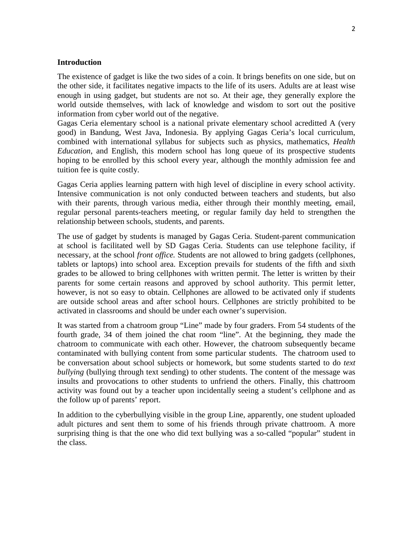#### **Introduction**

The existence of gadget is like the two sides of a coin. It brings benefits on one side, but on the other side, it facilitates negative impacts to the life of its users. Adults are at least wise enough in using gadget, but students are not so. At their age, they generally explore the world outside themselves, with lack of knowledge and wisdom to sort out the positive information from cyber world out of the negative.

Gagas Ceria elementary school is a national private elementary school acreditted A (very good) in Bandung, West Java, Indonesia. By applying Gagas Ceria's local curriculum, combined with international syllabus for subjects such as physics, mathematics, *Health Education*, and English, this modern school has long queue of its prospective students hoping to be enrolled by this school every year, although the monthly admission fee and tuition fee is quite costly.

Gagas Ceria applies learning pattern with high level of discipline in every school activity. Intensive communication is not only conducted between teachers and students, but also with their parents, through various media, either through their monthly meeting, email, regular personal parents-teachers meeting, or regular family day held to strengthen the relationship between schools, students, and parents.

The use of gadget by students is managed by Gagas Ceria. Student-parent communication at school is facilitated well by SD Gagas Ceria. Students can use telephone facility, if necessary, at the school *front office.* Students are not allowed to bring gadgets (cellphones, tablets or laptops) into school area. Exception prevails for students of the fifth and sixth grades to be allowed to bring cellphones with written permit. The letter is written by their parents for some certain reasons and approved by school authority. This permit letter, however, is not so easy to obtain. Cellphones are allowed to be activated only if students are outside school areas and after school hours. Cellphones are strictly prohibited to be activated in classrooms and should be under each owner's supervision.

It was started from a chatroom group "Line" made by four graders. From 54 students of the fourth grade, 34 of them joined the chat room "line". At the beginning, they made the chatroom to communicate with each other. However, the chatroom subsequently became contaminated with bullying content from some particular students. The chatroom used to be conversation about school subjects or homework, but some students started to do *text bullying* (bullying through text sending) to other students. The content of the message was insults and provocations to other students to unfriend the others. Finally, this chattroom activity was found out by a teacher upon incidentally seeing a student's cellphone and as the follow up of parents' report.

In addition to the cyberbullying visible in the group Line, apparently, one student uploaded adult pictures and sent them to some of his friends through private chattroom. A more surprising thing is that the one who did text bullying was a so-called "popular" student in the class.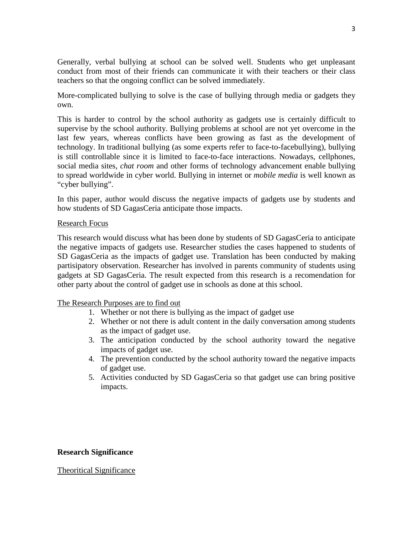Generally, verbal bullying at school can be solved well. Students who get unpleasant conduct from most of their friends can communicate it with their teachers or their class teachers so that the ongoing conflict can be solved immediately.

More-complicated bullying to solve is the case of bullying through media or gadgets they own.

This is harder to control by the school authority as gadgets use is certainly difficult to supervise by the school authority. Bullying problems at school are not yet overcome in the last few years, whereas conflicts have been growing as fast as the development of technology. In traditional bullying (as some experts refer to face-to-facebullying), bullying is still controllable since it is limited to face-to-face interactions. Nowadays, cellphones, social media sites, *chat room* and other forms of technology advancement enable bullying to spread worldwide in cyber world. Bullying in internet or *mobile media* is well known as "cyber bullying".

In this paper, author would discuss the negative impacts of gadgets use by students and how students of SD GagasCeria anticipate those impacts.

#### Research Focus

This research would discuss what has been done by students of SD GagasCeria to anticipate the negative impacts of gadgets use. Researcher studies the cases happened to students of SD GagasCeria as the impacts of gadget use. Translation has been conducted by making partisipatory observation. Researcher has involved in parents community of students using gadgets at SD GagasCeria. The result expected from this research is a recomendation for other party about the control of gadget use in schools as done at this school.

### The Research Purposes are to find out

- 1. Whether or not there is bullying as the impact of gadget use
- 2. Whether or not there is adult content in the daily conversation among students as the impact of gadget use.
- 3. The anticipation conducted by the school authority toward the negative impacts of gadget use.
- 4. The prevention conducted by the school authority toward the negative impacts of gadget use.
- 5. Activities conducted by SD GagasCeria so that gadget use can bring positive impacts.

### **Research Significance**

#### Theoritical Significance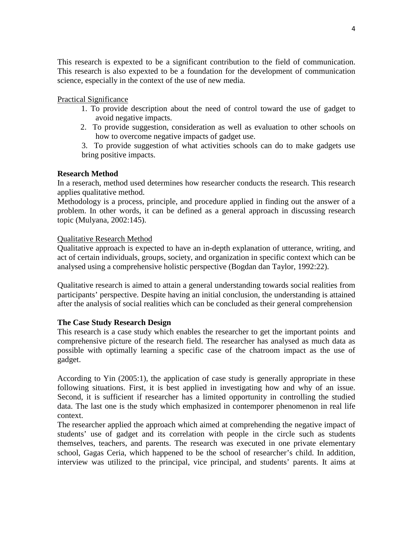This research is expexted to be a significant contribution to the field of communication. This research is also expexted to be a foundation for the development of communication science, especially in the context of the use of new media.

# Practical Significance

- 1. To provide description about the need of control toward the use of gadget to avoid negative impacts.
- 2. To provide suggestion, consideration as well as evaluation to other schools on how to overcome negative impacts of gadget use.

3. To provide suggestion of what activities schools can do to make gadgets use bring positive impacts.

### **Research Method**

In a reserach, method used determines how researcher conducts the research. This research applies qualitative method.

Methodology is a process, principle, and procedure applied in finding out the answer of a problem. In other words, it can be defined as a general approach in discussing research topic (Mulyana, 2002:145).

### Qualitative Research Method

Qualitative approach is expected to have an in-depth explanation of utterance, writing, and act of certain individuals, groups, society, and organization in specific context which can be analysed using a comprehensive holistic perspective (Bogdan dan Taylor, 1992:22).

Qualitative research is aimed to attain a general understanding towards social realities from participants' perspective. Despite having an initial conclusion, the understanding is attained after the analysis of social realities which can be concluded as their general comprehension

### **The Case Study Research Design**

This research is a case study which enables the researcher to get the important points and comprehensive picture of the research field. The researcher has analysed as much data as possible with optimally learning a specific case of the chatroom impact as the use of gadget.

According to Yin (2005:1), the application of case study is generally appropriate in these following situations. First, it is best applied in investigating how and why of an issue. Second, it is sufficient if researcher has a limited opportunity in controlling the studied data. The last one is the study which emphasized in contemporer phenomenon in real life context.

The researcher applied the approach which aimed at comprehending the negative impact of students' use of gadget and its correlation with people in the circle such as students themselves, teachers, and parents. The research was executed in one private elementary school, Gagas Ceria, which happened to be the school of researcher's child. In addition, interview was utilized to the principal, vice principal, and students' parents. It aims at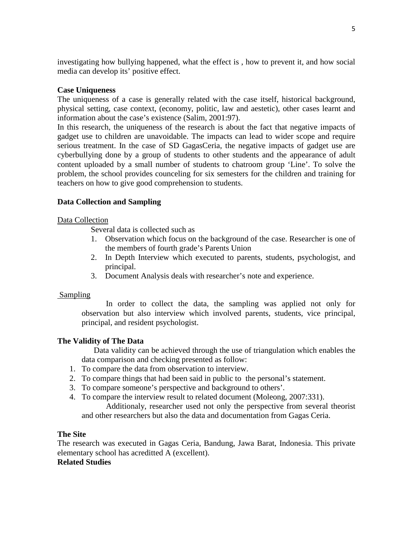investigating how bullying happened, what the effect is , how to prevent it, and how social media can develop its' positive effect.

### **Case Uniqueness**

The uniqueness of a case is generally related with the case itself, historical background, physical setting, case context, (economy, politic, law and aestetic), other cases learnt and information about the case's existence (Salim, 2001:97).

In this research, the uniqueness of the research is about the fact that negative impacts of gadget use to children are unavoidable. The impacts can lead to wider scope and require serious treatment. In the case of SD GagasCeria, the negative impacts of gadget use are cyberbullying done by a group of students to other students and the appearance of adult content uploaded by a small number of students to chatroom group 'Line'. To solve the problem, the school provides counceling for six semesters for the children and training for teachers on how to give good comprehension to students.

# **Data Collection and Sampling**

### Data Collection

Several data is collected such as

- 1. Observation which focus on the background of the case. Researcher is one of the members of fourth grade's Parents Union
- 2. In Depth Interview which executed to parents, students, psychologist, and principal.
- 3. Document Analysis deals with researcher's note and experience.

### Sampling

In order to collect the data, the sampling was applied not only for observation but also interview which involved parents, students, vice principal, principal, and resident psychologist.

### **The Validity of The Data**

Data validity can be achieved through the use of triangulation which enables the data comparison and checking presented as follow:

- 1. To compare the data from observation to interview.
- 2. To compare things that had been said in public to the personal's statement.
- 3. To compare someone's perspective and background to others'.
- 4. To compare the interview result to related document (Moleong, 2007:331).

Additionaly, researcher used not only the perspective from several theorist and other researchers but also the data and documentation from Gagas Ceria.

### **The Site**

The research was executed in Gagas Ceria, Bandung, Jawa Barat, Indonesia. This private elementary school has acreditted A (excellent).

### **Related Studies**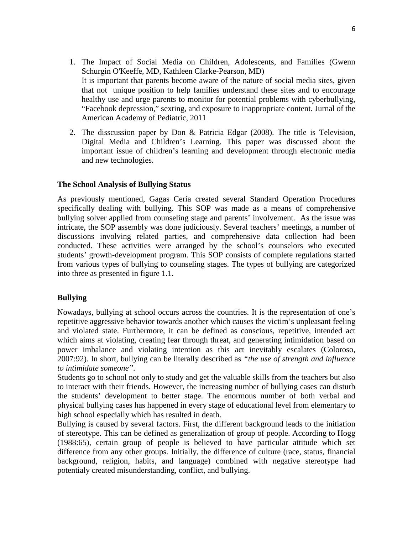- 1. The Impact of Social Media on Children, Adolescents, and Families [\(Gwenn](http://pediatrics.aappublications.org/search?author1=Gwenn+Schurgin+O%27Keeffe&sortspec=date&submit=Submit) Schurgin [O'Keeffe,](http://pediatrics.aappublications.org/search?author1=Gwenn+Schurgin+O%27Keeffe&sortspec=date&submit=Submit) MD, Kathleen [Clarke-Pearson,](http://pediatrics.aappublications.org/search?author1=Kathleen+Clarke-Pearson&sortspec=date&submit=Submit) MD) It is important that parents become aware of the nature of social media sites, given that not unique position to help families understand these sites and to encourage healthy use and urge parents to monitor for potential problems with cyberbullying, "Facebook depression," sexting, and exposure to inappropriate content. Jurnal of the American Academy of Pediatric, 2011
- 2. The disscussion paper by Don & Patricia Edgar (2008). The title is Television, Digital Media and Children's Learning. This paper was discussed about the important issue of children's learning and development through electronic media and new technologies.

#### **The School Analysis of Bullying Status**

As previously mentioned, Gagas Ceria created several Standard Operation Procedures specifically dealing with bullying. This SOP was made as a means of comprehensive bullying solver applied from counseling stage and parents' involvement. As the issue was intricate, the SOP assembly was done judiciously. Several teachers' meetings, a number of discussions involving related parties, and comprehensive data collection had been conducted. These activities were arranged by the school's counselors who executed students' growth-development program. This SOP consists of complete regulations started from various types of bullying to counseling stages. The types of bullying are categorized into three as presented in figure 1.1.

#### **Bullying**

Nowadays, bullying at school occurs across the countries. It is the representation of one's repetitive aggressive behavior towards another which causes the victim's unpleasant feeling and violated state. Furthermore, it can be defined as conscious, repetitive, intended act which aims at violating, creating fear through threat, and generating intimidation based on power imbalance and violating intention as this act inevitably escalates (Coloroso, 2007:92). In short, bullying can be literally described as *"the use of strength and influence to intimidate someone".*

Students go to school not only to study and get the valuable skills from the teachers but also to interact with their friends. However, the increasing number of bullying cases can disturb the students' development to better stage. The enormous number of both verbal and physical bullying cases has happened in every stage of educational level from elementary to high school especially which has resulted in death.

Bullying is caused by several factors. First, the different background leads to the initiation of stereotype. This can be defined as generalization of group of people. According to Hogg (1988:65), certain group of people is believed to have particular attitude which set difference from any other groups. Initially, the difference of culture (race, status, financial background, religion, habits, and language) combined with negative stereotype had potentialy created misunderstanding, conflict, and bullying.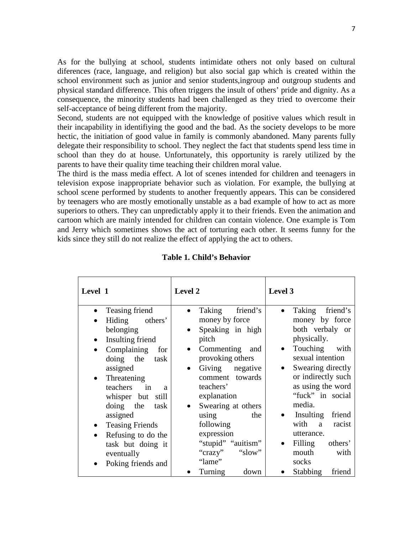As for the bullying at school, students intimidate others not only based on cultural diferences (race, language, and religion) but also social gap which is created within the school environment such as junior and senior students,ingroup and outgroup students and physical standard difference. This often triggers the insult of others' pride and dignity. As a consequence, the minority students had been challenged as they tried to overcome their self-acceptance of being different from the majority.

Second, students are not equipped with the knowledge of positive values which result in their incapability in identifiying the good and the bad. As the society develops to be more hectic, the initiation of good value in family is commonly abandoned. Many parents fully delegate their responsibility to school. They neglect the fact that students spend less time in school than they do at house. Unfortunately, this opportunity is rarely utilized by the parents to have their quality time teaching their children moral value.

The third is the mass media effect. A lot of scenes intended for children and teenagers in television expose inappropriate behavior such as violation. For example, the bullying at school scene performed by students to another frequently appears. This can be considered by teenagers who are mostly emotionally unstable as a bad example of how to act as more superiors to others. They can unpredictably apply it to their friends. Even the animation and cartoon which are mainly intended for children can contain violence. One example is Tom and Jerry which sometimes shows the act of torturing each other. It seems funny for the kids since they still do not realize the effect of applying the act to others.

| friend's<br>Teasing friend<br>Taking<br>friend's<br>Taking<br>$\bullet$<br>money by force<br>money by force<br>Hiding others'<br>both verbaly or<br>belonging<br>Speaking in high<br>$\bullet$<br>physically.<br>pitch<br>Insulting friend<br>Touching with<br>Commenting and<br>Complaining<br>$\bullet$<br>for<br>$\bullet$<br>$\bullet$<br>sexual intention<br>provoking others<br>doing the task<br>Swearing directly<br>assigned<br>Giving negative<br>or indirectly such<br>comment towards<br>Threatening<br>$\bullet$<br>as using the word<br>teachers'<br>teachers in<br>$\overline{a}$<br>"fuck" in social<br>explanation<br>whisper but still<br>media.<br>Swearing at others<br>doing the task<br>Insulting<br>friend<br>assigned<br>using<br>the<br>with a racist<br>following<br><b>Teasing Friends</b><br>expression<br>utterance.<br>Refusing to do the<br>$\bullet$<br>"stupid" "auitism"<br>Filling<br>others'<br>task but doing it<br>"crazy"<br>mouth<br>"slow"<br>with<br>eventually<br>"lame"<br>socks<br>Poking friends and<br>$\bullet$ | Level 1 | Level 2         | Level 3            |
|-----------------------------------------------------------------------------------------------------------------------------------------------------------------------------------------------------------------------------------------------------------------------------------------------------------------------------------------------------------------------------------------------------------------------------------------------------------------------------------------------------------------------------------------------------------------------------------------------------------------------------------------------------------------------------------------------------------------------------------------------------------------------------------------------------------------------------------------------------------------------------------------------------------------------------------------------------------------------------------------------------------------------------------------------------------------|---------|-----------------|--------------------|
|                                                                                                                                                                                                                                                                                                                                                                                                                                                                                                                                                                                                                                                                                                                                                                                                                                                                                                                                                                                                                                                                 |         | Turning<br>down | Stabbing<br>friend |

**Table 1. Child's Behavior**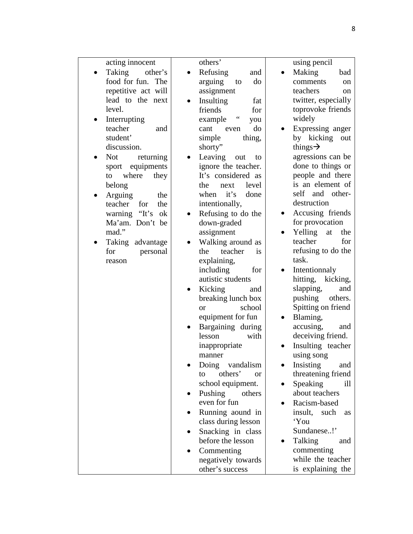| acting innocent         | others'                           | using pencil          |
|-------------------------|-----------------------------------|-----------------------|
| Taking<br>other's       | Refusing<br>and                   | Making<br>bad         |
| food for fun. The       | arguing<br>do<br>to               | comments<br>on        |
| repetitive act will     | assignment                        | teachers              |
|                         |                                   | on                    |
| lead to the next        | Insulting<br>fat                  | twitter, especially   |
| level.                  | friends<br>for                    | toprovoke friends     |
| Interrupting            | $\zeta$ $\zeta$<br>example<br>you | widely                |
| teacher<br>and          | do<br>cant<br>even                | Expressing anger      |
| student'                | simple<br>thing,                  | by kicking<br>out     |
| discussion.             | shorty"                           | things $\rightarrow$  |
| <b>Not</b><br>returning | Leaving<br>out<br>to              | agressions can be     |
| sport equipments        | ignore the teacher.               | done to things or     |
| where<br>to<br>they     | It's considered as                | people and there      |
| belong                  | the<br>level<br>next              | is an element of      |
| the                     | it's<br>when<br>done              | self<br>and<br>other- |
| Arguing                 |                                   | destruction           |
| the<br>teacher for      | intentionally,                    |                       |
| warning "It's ok        | Refusing to do the                | Accusing friends      |
| Ma'am. Don't be         | down-graded                       | for provocation       |
| mad."                   | assignment                        | Yelling<br>the<br>at  |
| Taking advantage        | Walking around as                 | for<br>teacher        |
| for<br>personal         | teacher<br>the<br><i>is</i>       | refusing to do the    |
| reason                  | explaining,                       | task.                 |
|                         | including<br>for                  | Intentionnaly         |
|                         | autistic students                 | hitting, kicking,     |
|                         | Kicking<br>and                    | slapping,<br>and      |
|                         | breaking lunch box                | pushing<br>others.    |
|                         | school<br><sub>or</sub>           | Spitting on friend    |
|                         | equipment for fun                 | Blaming,              |
|                         |                                   |                       |
|                         | Bargaining during                 | accusing,<br>and      |
|                         | lesson<br>with                    | deceiving friend.     |
|                         | inappropriate                     | Insulting teacher     |
|                         | manner                            | using song            |
|                         | Doing vandalism                   | Insisting<br>and      |
|                         | others'<br>to<br><b>or</b>        | threatening friend    |
|                         | school equipment.                 | Speaking<br>ill       |
|                         | Pushing others                    | about teachers        |
|                         | even for fun                      | Racism-based          |
|                         | Running aound in                  | insult, such<br>as    |
|                         | class during lesson               | 'You                  |
|                         | Snacking in class                 | Sundanese!'           |
|                         | before the lesson                 | Talking<br>and        |
|                         |                                   |                       |
|                         | Commenting                        | commenting            |
|                         | negatively towards                | while the teacher     |
|                         | other's success                   | is explaining the     |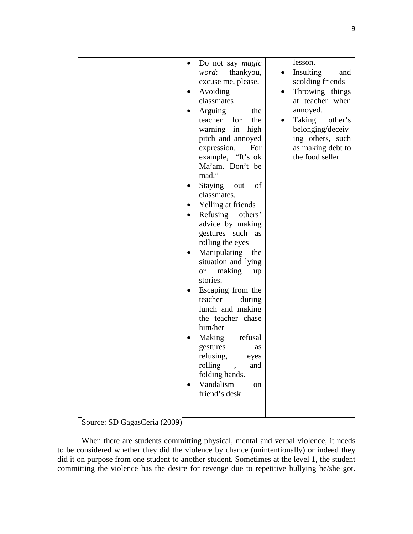| Do not say <i>magic</i><br>thankyou,<br><i>word</i> :<br>excuse me, please.<br>Avoiding<br>classmates<br>Arguing<br>the<br>teacher<br>the<br>for<br>warning in<br>high<br>pitch and annoyed<br>expression.<br>For<br>example, "It's ok<br>Ma'am. Don't be<br>mad."<br>Staying out<br>of<br>classmates.<br>Yelling at friends<br>Refusing others'<br>advice by making<br>gestures such<br>as<br>rolling the eyes<br>Manipulating the<br>situation and lying<br>making<br>or or<br>up<br>stories.<br>Escaping from the<br>teacher<br>during<br>lunch and making<br>the teacher chase<br>him/her<br>Making<br>refusal<br>gestures<br>as<br>refusing, eyes<br>rolling<br>$\overline{\phantom{a}}$<br>and<br>folding hands.<br>Vandalism<br>on<br>friend's desk | lesson.<br>Insulting<br>and<br>scolding friends<br>Throwing things<br>at teacher when<br>annoyed.<br>Taking<br>other's<br>belonging/deceiv<br>ing others, such<br>as making debt to<br>the food seller |
|------------------------------------------------------------------------------------------------------------------------------------------------------------------------------------------------------------------------------------------------------------------------------------------------------------------------------------------------------------------------------------------------------------------------------------------------------------------------------------------------------------------------------------------------------------------------------------------------------------------------------------------------------------------------------------------------------------------------------------------------------------|--------------------------------------------------------------------------------------------------------------------------------------------------------------------------------------------------------|
|------------------------------------------------------------------------------------------------------------------------------------------------------------------------------------------------------------------------------------------------------------------------------------------------------------------------------------------------------------------------------------------------------------------------------------------------------------------------------------------------------------------------------------------------------------------------------------------------------------------------------------------------------------------------------------------------------------------------------------------------------------|--------------------------------------------------------------------------------------------------------------------------------------------------------------------------------------------------------|

Source: SD GagasCeria (2009)

When there are students committing physical, mental and verbal violence, it needs to be considered whether they did the violence by chance (unintentionally) or indeed they did it on purpose from one student to another student. Sometimes at the level 1, the student committing the violence has the desire for revenge due to repetitive bullying he/she got.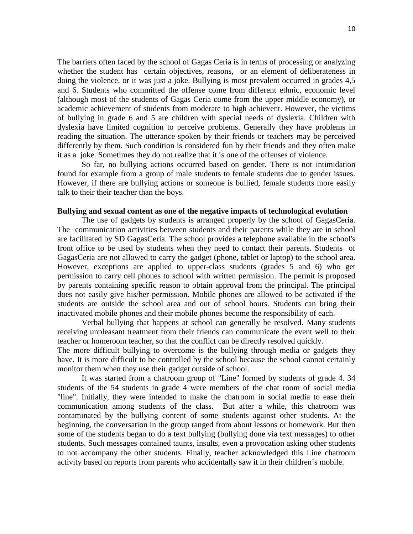The barriers often faced by the school of Gagas Ceria is in terms of processing or analyzing whether the student has certain objectives, reasons, or an element of deliberateness in doing the violence, or it was just a joke. Bullying is most prevalent occurred in grades 4,5 and 6. Students who committed the offense come from different ethnic, economic level (although most of the students of Gagas Ceria come from the upper middle economy), or academic achievement of students from moderate to high achievent. However, the victims of bullying in grade 6 and 5 are children with special needs of dyslexia. Children with dyslexia have limited cognition to perceive problems. Generally they have problems in reading the situation. The utterance spoken by their friends or teachers may be perceived differently by them. Such condition is considered fun by their friends and they often make it as a joke. Sometimes they do not realize that it is one of the offenses of violence.

So far, no bullying actions occurred based on gender. There is not intimidation found for example from a group of male students to female students due to gender issues. However, if there are bullying actions or someone is bullied, female students more easily talk to their their teacher than the boys.

#### **Bullying and sexual content as one of the negative impacts of technological evolution**

The use of gadgets by students is arranged properly by the school of GagasCeria. The communication activities between students and their parents while they are in school are facilitated by SD GagasCeria. The school provides a telephone available in the school's front office to be used by students when they need to contact their parents. Students of GagasCeria are not allowed to carry the gadget (phone, tablet or laptop) to the school area. However, exceptions are applied to upper-class students (grades 5 and 6) who get permission to carry cell phones to school with written permission. The permit is proposed by parents containing specific reason to obtain approval from the principal. The principal does not easily give his/her permission. Mobile phones are allowed to be activated if the students are outside the school area and out of school hours. Students can bring their inactivated mobile phones and their mobile phones become the responsibility of each.

Verbal bullying that happens at school can generally be resolved. Many students receiving unpleasant treatment from their friends can communicate the event well to their teacher or homeroom teacher, so that the conflict can be directly resolved quickly.

The more difficult bullying to overcome is the bullying through media or gadgets they have. It is more difficult to be controlled by the school because the school cannot certainly monitor them when they use their gadget outside of school.

It was started from a chatroom group of "Line" formed by students of grade 4. 34 students of the 54 students in grade 4 were members of the chat room of social media "line". Initially, they were intended to make the chatroom in social media to ease their communication among students of the class. But after a while, this chatroom was contaminated by the bullying content of some students against other students. At the beginning, the conversation in the group ranged from about lessons or homework. But then some of the students began to do a text bullying (bullying done via text messages) to other students. Such messages contained taunts, insults, even a provocation asking other students to not accompany the other students. Finally, teacher acknowledged this Line chatroom activity based on reports from parents who accidentally saw it in their children's mobile.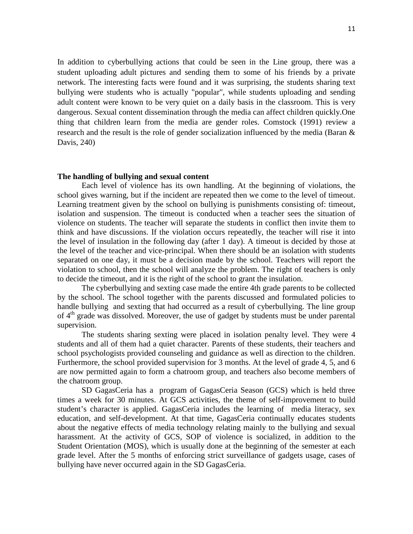In addition to cyberbullying actions that could be seen in the Line group, there was a student uploading adult pictures and sending them to some of his friends by a private network. The interesting facts were found and it was surprising, the students sharing text bullying were students who is actually "popular", while students uploading and sending adult content were known to be very quiet on a daily basis in the classroom. This is very dangerous. Sexual content dissemination through the media can affect children quickly.One thing that children learn from the media are gender roles. Comstock (1991) review a research and the result is the role of gender socialization influenced by the media (Baran & Davis, 240)

#### **The handling of bullying and sexual content**

Each level of violence has its own handling. At the beginning of violations, the school gives warning, but if the incident are repeated then we come to the level of timeout. Learning treatment given by the school on bullying is punishments consisting of: timeout, isolation and suspension. The timeout is conducted when a teacher sees the situation of violence on students. The teacher will separate the students in conflict then invite them to think and have discussions. If the violation occurs repeatedly, the teacher will rise it into the level of insulation in the following day (after 1 day). A timeout is decided by those at the level of the teacher and vice-principal. When there should be an isolation with students separated on one day, it must be a decision made by the school. Teachers will report the violation to school, then the school will analyze the problem. The right of teachers is only to decide the timeout, and it is the right of the school to grant the insulation.

The cyberbullying and sexting case made the entire 4th grade parents to be collected by the school. The school together with the parents discussed and formulated policies to handle bullying and sexting that had occurred as a result of cyberbullying. The line group of  $4<sup>th</sup>$  grade was dissolved. Moreover, the use of gadget by students must be under parental supervision.

The students sharing sexting were placed in isolation penalty level. They were 4 students and all of them had a quiet character. Parents of these students, their teachers and school psychologists provided counseling and guidance as well as direction to the children. Furthermore, the school provided supervision for 3 months. At the level of grade 4, 5, and 6 are now permitted again to form a chatroom group, and teachers also become members of the chatroom group.

SD GagasCeria has a program of GagasCeria Season (GCS) which is held three times a week for 30 minutes. At GCS activities, the theme of self-improvement to build student's character is applied. GagasCeria includes the learning of media literacy, sex education, and self-development. At that time, GagasCeria continually educates students about the negative effects of media technology relating mainly to the bullying and sexual harassment. At the activity of GCS, SOP of violence is socialized, in addition to the Student Orientation (MOS), which is usually done at the beginning of the semester at each grade level. After the 5 months of enforcing strict surveillance of gadgets usage, cases of bullying have never occurred again in the SD GagasCeria.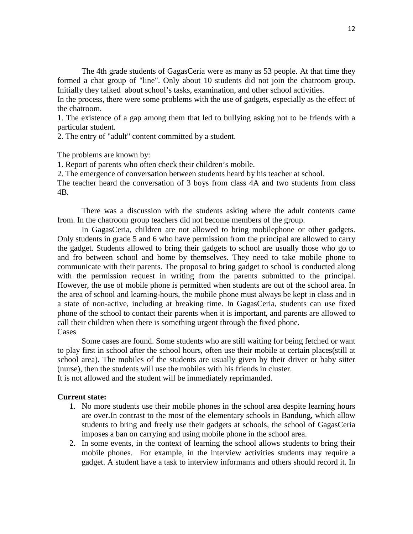The 4th grade students of GagasCeria were as many as 53 people. At that time they formed a chat group of "line". Only about 10 students did not join the chatroom group. Initially they talked about school's tasks, examination, and other school activities.

In the process, there were some problems with the use of gadgets, especially as the effect of the chatroom.

1. The existence of a gap among them that led to bullying asking not to be friends with a particular student.

2. The entry of "adult" content committed by a student.

The problems are known by:

1. Report of parents who often check their children's mobile.

2. The emergence of conversation between students heard by his teacher at school.

The teacher heard the conversation of 3 boys from class 4A and two students from class 4B.

There was a discussion with the students asking where the adult contents came from. In the chatroom group teachers did not become members of the group.

In GagasCeria, children are not allowed to bring mobilephone or other gadgets. Only students in grade 5 and 6 who have permission from the principal are allowed to carry the gadget. Students allowed to bring their gadgets to school are usually those who go to and fro between school and home by themselves. They need to take mobile phone to communicate with their parents. The proposal to bring gadget to school is conducted along with the permission request in writing from the parents submitted to the principal. However, the use of mobile phone is permitted when students are out of the school area. In the area of school and learning-hours, the mobile phone must always be kept in class and in a state of non-active, including at breaking time. In GagasCeria, students can use fixed phone of the school to contact their parents when it is important, and parents are allowed to call their children when there is something urgent through the fixed phone. **Cases** 

Some cases are found. Some students who are still waiting for being fetched or want to play first in school after the school hours, often use their mobile at certain places(still at school area). The mobiles of the students are usually given by their driver or baby sitter (nurse), then the students will use the mobiles with his friends in cluster.

It is not allowed and the student will be immediately reprimanded.

#### **Current state:**

- 1. No more students use their mobile phones in the school area despite learning hours are over.In contrast to the most of the elementary schools in Bandung, which allow students to bring and freely use their gadgets at schools, the school of GagasCeria imposes a ban on carrying and using mobile phone in the school area.
- 2. In some events, in the context of learning the school allows students to bring their mobile phones. For example, in the interview activities students may require a gadget. A student have a task to interview informants and others should record it. In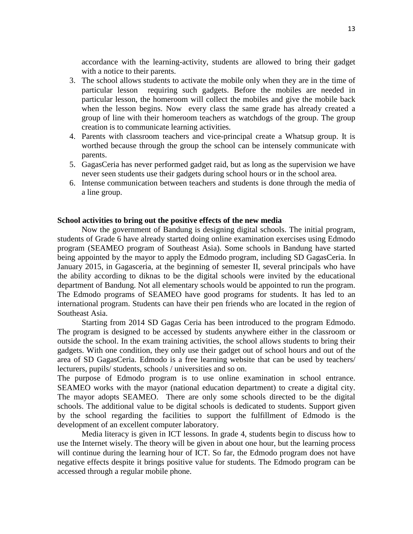accordance with the learning-activity, students are allowed to bring their gadget with a notice to their parents.

- 3. The school allows students to activate the mobile only when they are in the time of particular lesson requiring such gadgets. Before the mobiles are needed in particular lesson, the homeroom will collect the mobiles and give the mobile back when the lesson begins. Now every class the same grade has already created a group of line with their homeroom teachers as watchdogs of the group. The group creation is to communicate learning activities.
- 4. Parents with classroom teachers and vice-principal create a Whatsup group. It is worthed because through the group the school can be intensely communicate with parents.
- 5. GagasCeria has never performed gadget raid, but as long as the supervision we have never seen students use their gadgets during school hours or in the school area.
- 6. Intense communication between teachers and students is done through the media of a line group.

#### **School activities to bring out the positive effects of the new media**

Now the government of Bandung is designing digital schools. The initial program, students of Grade 6 have already started doing online examination exercises using Edmodo program (SEAMEO program of Southeast Asia). Some schools in Bandung have started being appointed by the mayor to apply the Edmodo program, including SD GagasCeria. In January 2015, in Gagasceria, at the beginning of semester II, several principals who have the ability according to diknas to be the digital schools were invited by the educational department of Bandung. Not all elementary schools would be appointed to run the program. The Edmodo programs of SEAMEO have good programs for students. It has led to an international program. Students can have their pen friends who are located in the region of Southeast Asia.

Starting from 2014 SD Gagas Ceria has been introduced to the program Edmodo. The program is designed to be accessed by students anywhere either in the classroom or outside the school. In the exam training activities, the school allows students to bring their gadgets. With one condition, they only use their gadget out of school hours and out of the area of SD GagasCeria. Edmodo is a free learning website that can be used by teachers/ lecturers, pupils/ students, schools / universities and so on.

The purpose of Edmodo program is to use online examination in school entrance. SEAMEO works with the mayor (national education department) to create a digital city. The mayor adopts SEAMEO. There are only some schools directed to be the digital schools. The additional value to be digital schools is dedicated to students. Support given by the school regarding the facilities to support the fulfillment of Edmodo is the development of an excellent computer laboratory.

Media literacy is given in ICT lessons. In grade 4, students begin to discuss how to use the Internet wisely. The theory will be given in about one hour, but the learning process will continue during the learning hour of ICT. So far, the Edmodo program does not have negative effects despite it brings positive value for students. The Edmodo program can be accessed through a regular mobile phone.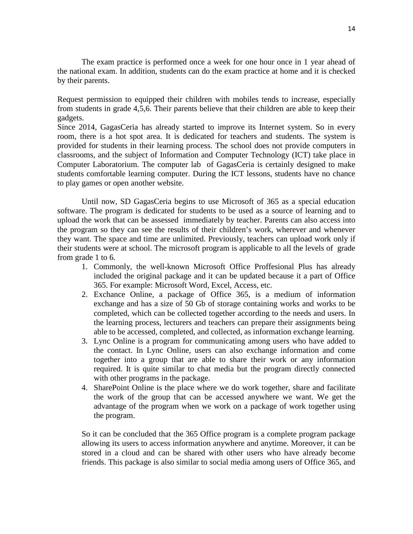The exam practice is performed once a week for one hour once in 1 year ahead of the national exam. In addition, students can do the exam practice at home and it is checked by their parents.

Request permission to equipped their children with mobiles tends to increase, especially from students in grade 4,5,6. Their parents believe that their children are able to keep their gadgets.

Since 2014, GagasCeria has already started to improve its Internet system. So in every room, there is a hot spot area. It is dedicated for teachers and students. The system is provided for students in their learning process. The school does not provide computers in classrooms, and the subject of Information and Computer Technology (ICT) take place in Computer Laboratorium. The computer lab of GagasCeria is certainly designed to make students comfortable learning computer. During the ICT lessons, students have no chance to play games or open another website.

Until now, SD GagasCeria begins to use Microsoft of 365 as a special education software. The program is dedicated for students to be used as a source of learning and to upload the work that can be assessed immediately by teacher. Parents can also access into the program so they can see the results of their children's work, wherever and whenever they want. The space and time are unlimited. Previously, teachers can upload work only if their students were at school. The microsoft program is applicable to all the levels of grade from grade 1 to 6.

- 1. Commonly, the well-known Microsoft Office Proffesional Plus has already included the original package and it can be updated because it a part of Office 365. For example: Microsoft Word, Excel, Access, etc.
- 2. Exchance Online, a package of Office 365, is a medium of information exchange and has a size of 50 Gb of storage containing works and works to be completed, which can be collected together according to the needs and users. In the learning process, lecturers and teachers can prepare their assignments being able to be accessed, completed, and collected, as information exchange learning.
- 3. Lync Online is a program for communicating among users who have added to the contact. In Lync Online, users can also exchange information and come together into a group that are able to share their work or any information required. It is quite similar to chat media but the program directly connected with other programs in the package.
- 4. SharePoint Online is the place where we do work together, share and facilitate the work of the group that can be accessed anywhere we want. We get the advantage of the program when we work on a package of work together using the program.

So it can be concluded that the 365 Office program is a complete program package allowing its users to access information anywhere and anytime. Moreover, it can be stored in a cloud and can be shared with other users who have already become friends. This package is also similar to social media among users of Office 365, and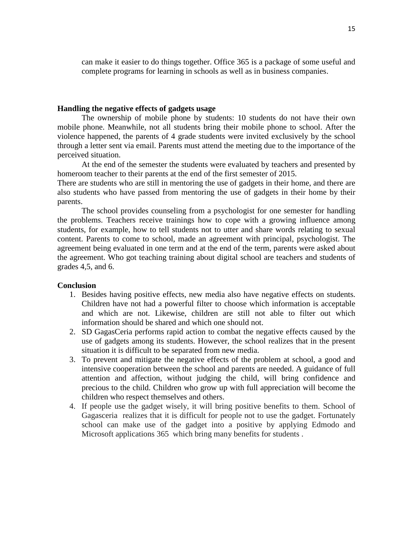can make it easier to do things together. Office 365 is a package of some useful and complete programs for learning in schools as well as in business companies.

#### **Handling the negative effects of gadgets usage**

The ownership of mobile phone by students: 10 students do not have their own mobile phone. Meanwhile, not all students bring their mobile phone to school. After the violence happened, the parents of 4 grade students were invited exclusively by the school through a letter sent via email. Parents must attend the meeting due to the importance of the perceived situation.

At the end of the semester the students were evaluated by teachers and presented by homeroom teacher to their parents at the end of the first semester of 2015.

There are students who are still in mentoring the use of gadgets in their home, and there are also students who have passed from mentoring the use of gadgets in their home by their parents.

The school provides counseling from a psychologist for one semester for handling the problems. Teachers receive trainings how to cope with a growing influence among students, for example, how to tell students not to utter and share words relating to sexual content. Parents to come to school, made an agreement with principal, psychologist. The agreement being evaluated in one term and at the end of the term, parents were asked about the agreement. Who got teaching training about digital school are teachers and students of grades 4,5, and 6.

#### **Conclusion**

- 1. Besides having positive effects, new media also have negative effects on students. Children have not had a powerful filter to choose which information is acceptable and which are not. Likewise, children are still not able to filter out which information should be shared and which one should not.
- 2. SD GagasCeria performs rapid action to combat the negative effects caused by the use of gadgets among its students. However, the school realizes that in the present situation it is difficult to be separated from new media.
- 3. To prevent and mitigate the negative effects of the problem at school, a good and intensive cooperation between the school and parents are needed. A guidance of full attention and affection, without judging the child, will bring confidence and precious to the child. Children who grow up with full appreciation will become the children who respect themselves and others.
- 4. If people use the gadget wisely, it will bring positive benefits to them. School of Gagasceria realizes that it is difficult for people not to use the gadget. Fortunately school can make use of the gadget into a positive by applying Edmodo and Microsoft applications 365 which bring many benefits for students .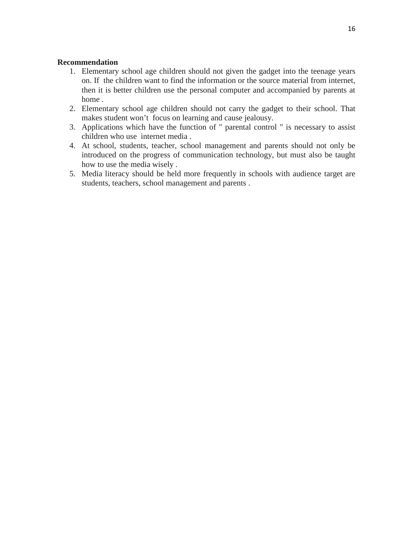#### **Recommendation**

- 1. Elementary school age children should not given the gadget into the teenage years on. If the children want to find the information or the source material from internet, then it is better children use the personal computer and accompanied by parents at home .
- 2. Elementary school age children should not carry the gadget to their school. That makes student won't focus on learning and cause jealousy.
- 3. Applications which have the function of " parental control " is necessary to assist children who use internet media .
- 4. At school, students, teacher, school management and parents should not only be introduced on the progress of communication technology, but must also be taught how to use the media wisely .
- 5. Media literacy should be held more frequently in schools with audience target are students, teachers, school management and parents .